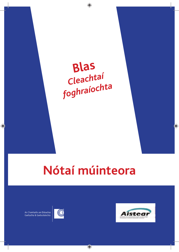

# **Nótaí múinteora**

 $\bigoplus$ 

An Chomhairle um Oideachas<br>Gaeltachta & Gaelscolaíochta



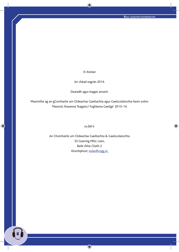© Aistear

 $\bigoplus$ 

An chéad eagrán 2014.

Dearadh agus leagan amach:

Maoinithe ag an gComhairle um Oideachas Gaeltachta agus Gaelscolaíochta faoin scéim 'Maoiniú Áiseanna Teagaisc/ Foghlama Gaeilge' 2013–14.

### *Le fáil ó*

An Chomhairle um Oideachas Gaeltachta & Gaelscolaíochta 35 Cearnóg Mhic Liam, Baile Átha Cliath 2 Ríomhphost: eolas@cogg.ie

♦

ii

 $\bigoplus$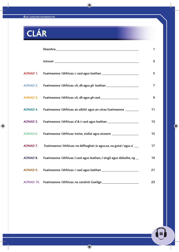# CLÁR

 $\bigoplus$ 

|                                                                                   | 1              |
|-----------------------------------------------------------------------------------|----------------|
|                                                                                   | 3              |
| AONAD 1. Fuaimeanna i bhfócas: c caol agus leathan _____________________________  | 5              |
| AONAD 2. Fuaimeanna i bhfócas: ch, dh agus gh leathan ___________________________ | $\overline{7}$ |
| AONAD 3. Fuaimeanna i bhfócas: ch, dh agus gh caol_______________________________ | 9              |
| AONAD 4. Fuaimeanna i bhfócas: an aibítir agus an córas fuaimeanna _______        | 11             |
| AONAD 5. Fuaimeanna i bhfócas: d & t caol agus leathan _________________________  | 13             |
| AONAD 6. Fuaimeanna i bhfócas: treise, siollaí agus aiceann _______________       | 15             |
| AONAD 7. Fuaimeanna i bhfócas: na défhoghair ia agus ua, na gutaí í agus ú __     | 17             |
| AONAD 8. Fuaimeanna i bhfócas: l caol agus leathan, l singil agus dúbailte, nq    | 19             |
| AONAD 9. Fuaimeanna i bhfócas: r caol agus leathan _____________________________  | 21             |
| AONAD 10. Fuaimeanna i bhfócas: na canúintí Gaeilge ____________________________  | 23             |

 $\bigoplus$ 

 $\bigoplus$ 

 $\vec{\bm{\theta}}$ 

 $\bigcirc$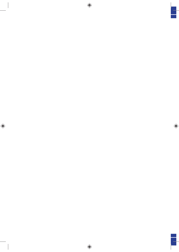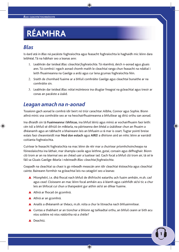# RÉAMHRA

### *Blas*

◈

Is éard atá in *Blas* ná pacáiste foghraíochta agus feasacht foghraíochta le haghaidh mic léinn dara leibhéal. Tá na hábhair seo a leanas ann:

- 1. Leabhrán dar teideal *Blas: cleachtaí foghraíochta*. Tá réamhrá, deich n-aonad agus gluais ann. Tá comhrá i ngach aonad chomh maith le cleachtaí ranga chun feasacht na ndaltaí i leith fhuaimeanna na Gaeilge a ardú agus cur lena gcumas foghraíochta féin.
- 2. Sraith de chomhaid fuaime ar a bhfuil comhráite Gaeilge agus cleachtaí bunaithe ar na comhráite sin.
- 3. Leabhrán dar teideal *Blas: nótaí múinteora* ina dtugtar freagraí na gcleachtaí agus treoir ar conas an pacáiste a úsáid.

### *Leagan amach na n-aonad*

Tosaíonn gach aonad le comhrá idir beirt nó triúr carachtar: Ailbhe, Connor agus Sophie. Bíonn athrá minic sna comhráite seo ar na heochairfhuaimeanna a bhfuiltear ag díriú orthu san aonad.

Ina dhiaidh sin tá **Fuaimeanna i bhfócas**, ina bhfuil léiriú agus míniú ar eochairfhuaim faoi leith: cén tslí a bhfuil sé difriúil ón mBéarla, na páirteanna den bhéal a úsáidtear chun an fhuaim a dhéanamh agus an tábhacht a bhaineann leis an bhfuaim a rá mar is ceart. Tugtar pointí breise eolais faoi cheannteidil mar **Nod don eolach** agus **AIRE!** a dhíríonn aird an mhic léinn ar earráidí coitianta foghraíochta.

Cuirtear le feasacht foghraíochta na mac léinn de réir mar a chuirtear príomhchoincheapa na fóineolaíochta ina láthair, mar shampla caoile agus leithne, gutaí, consain agus défhoghair. Bíonn cló trom ar an na téarmaí seo an chéad uair a luaitear iad. Gach focal a bhfuil cló trom air, tá sé le fáil sa Gluais Gaeilge–Béarla i ndeireadh *Blas: cleachtaí foghraíochta*.

Ceapadh na cleachtaí sa chaoi is go mbeadh meascán ann idir cleachtaí éisteachta agus cleachtaí cainte. Baineann formhór na gcleachtaí leis na catagóirí seo a leanas:

- ▲ Mionphéirí, i.e. dhá fhocal nach bhfuil de dhifríocht eatarthu ach fuaim amháin, m.sh. *cad* agus *cead*. Cloiseann an mac léinn focal amháin acu á léamh agus caithfidh sé/sí tic a chur leis an bhfocal cuí chun a thaispeáint gur aithin sé/sí an difear fuaime.
- ▲ Athrá ar fhocail ón gcomhrá.
- ▲ Athrá ar an gcomhrá.
- ▲ Anailís a dhéanamh ar théacs, m.sh. nóta a chur le litreacha nach bhfuaimnítear.
- ▲ Cuntas a thabhairt ar an tionchar a bhíonn ag taifeadtaí orthu, an bhfuil ceann ar bith acu níos soiléire nó níos nádúrtha ná a chéile?

⊕

1

O

▲ Deachtú.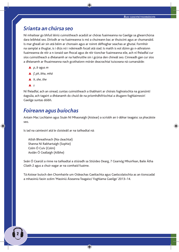### *Srianta an chúrsa seo*

Ní mhaítear go bhfuil léiriú cuimsitheach acadúil ar chóras fuaimeanna na Gaeilge sa ghearrchúrsa dara leibhéal seo. Díríodh ar na fuaimeanna is mó a chuireann bac ar thuiscint agus ar chumarsáid. Is mar gheall air sin atá béim ar chonsain agus ar roinnt défhoghar seachas ar ghutaí. Formhór na samplaí a thugtar, is i dtús nó i ndeireadh focail atá siad. Is maith is eol dúinn go n-athraíonn fuaimeanna de réir a n-ionaid san fhocal agus de réir tionchar fuaimeanna eile, ach ní fhéadfaí cur síos cuimsitheach a dhéanamh ar na hathruithe sin i gcúrsa den chineál seo. Cinneadh gan cur síos a dhéanamh ar fhuaimeanna nach gcothaíonn mórán deacrachtaí tuisceana ná cumarsáide:

- ▲ *p, b* agus *m*
- ▲ *f, ph, bha, mhá*
- ▲ *h, she, the*
- ▲ *s*

Ní fhéadfaí, ach an oiread, cuntas cuimsitheach a thabhairt ar chórais foghraíochta na gcanúintí éagsúla, ach tagairt a dhéanamh do chuid de na príomhdhifríochtaí a dtugann foghlaimeoirí Gaeilge suntas dóibh.

### *Foireann agus buíochas*

Antain Mac Lochlainn agus Siuán Ní Mhaonaigh (Aistear) a scríobh an t-ábhar teagaisc sa phacáiste seo.

Is iad na cainteoirí atá le cloisteáil ar na taifeadtaí ná:

Ailish Bhreathnach (Na cleachtaí) Shanna Ní Rabhartaigh (Sophie) Colm Ó Cuív (Colm) Aodán Ó Ceallaigh (Ailbhe)

Seán Ó Cearúil a rinne na taifeadtaí a stiúradh sa Stiúideo Dearg, 7 Cearnóg Mhuirfean, Baile Átha Cliath 2 agus a chuir eagar ar na comhaid fuaime.

Tá Aistear buíoch den Chomhairle um Oideachas Gaeltachta agus Gaelscolaíochta as an tionscadal a mhaoiniú faoin scéim 'Maoiniú Áiseanna Teagaisc/ Foghlama Gaeilge' 2013–14.

⊕

♦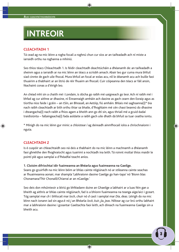# **INTREOIR**

#### **CLEACHTADH 1**

Tá cead ag na mic léinn a rogha focail a roghnú chun cur síos ar an taifeadadh ach ní miste a iarraidh orthu na roghanna a mhíniú.

Seo thíos téacs Chleachtadh 1. Is féidir cleachtadh deachtúcháin a dhéanamh de: an taifeadadh a sheinm agus a iarraidh ar na mic léinn an téacs a scríobh amach. Abair leo gur cuma mura bhfuil siad cinnte de gach uile fhocal. Mura bhfuil an focal ar eolas acu, níl le déanamh acu ach buille faoi thuairim a thabhairt ar an litriú de réir fhuaim an fhocail. Cuir cóipeanna den téacs ar fáil ansin, féachaint conas a d'éirigh leo.

An chéad mhí sin a chaith mé i Londain, is dócha go raibh mé uaigneach go leor. Ach ní raibh mé i bhfad ag cur aithne ar dhaoine, ní Éireannaigh amháin ach daoine as gach cearn den Eoraip agus as tíortha níos faide i gcéin – an tSín, an Bhrasaíl, an Aetóip, fiú amháin. Bhlais mé saghsanna(í)\* bia nach raibh cleachtadh ar bith orthu thiar sa bhaile, d'fhoghlaim mé cén chaoi beannú do dhaoine i dteangacha(í) nach raibh a fhios agam a bheith ann go dtí sin, agus thriail mé a gcuid éadaí traidisiúnta – fallaingeacha(í) fada aoldaite a raibh gach uile dhath dá bhfuil sa tuar ceatha iontu.

\* Mínigh do na mic léinn gur minic a chloistear *í* ag deireadh ainmfhocail iolra a chríochnaíonn i nguta.

#### **CLEACHTADH 2**

◈

Is é cuspóir an chleachtaidh seo ná deis a thabhairt do na mic léinn a machnamh a dhéanamh faoi ghnéithe den fhoghraíocht agus tuairimí a nochtadh ina leith. Tá roinnt moltaí thíos maidir le pointí plé agus samplaí a d'fhéadfaí teacht aníos.

**1. Cloisim difríochtaí idir fuaimeanna an Bhéarla agus fuaimeanna na Gaeilge.** Seans go gcuirfidh na mic léinn béim ar bhlas cainte réigiúnach nó ar stíleanna cainte seachas ar fhuaimeanna aonair, mar shampla 'Labhraíonn daoine Gaeilge go han-tapa' nó 'Bíonn blas Chonamara/Thír Chonaill/Chiarraí ar an nGaeilge.'

Seo deis don mhúinteoir a léiriú go bhféadann duine an Ghaeilge a labhairt ar a luas féin gan a bheith ag aithris ar bhlas cainte réigiúnach, fad is a bhíonn fuaimeanna na teanga aige/aici i gceart. Tóg samplaí mar *ch* i bhfocail mar *loch, chuir* nó *d* caol i samplaí mar *Dia, deas*. Léirigh do na mic léinn nach ionann iad sin agus *k* nó *j* an Bhéarla: *lock, kuir, jia, jeas*. Níltear ag cur brú orthu labhairt mar a labhraíonn daoine i gceantar Gaeltachta faoi leith, ach díreach na fuaimeanna Gaeilge sin a bheith acu.

⊕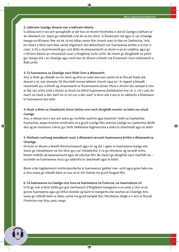### **2. Labhraím Gaeilge díreach mar a labhraím Béarla.**

Is ráiteas lom é seo ach spreagfaidh sé plé faoi cé chomh hinmholta is atá sé Gaeilge a labhairt ar an mbealach sin. Seans go ndéarfadh cuid de na mic léinn: 'Is Éireannach mé agus is í an Ghaeilge teanga na hÉireann. Mar sin de, tá mo bhlas cainte féin chomh ceart le blas na Gaeltachta.' Arís, ba cheart a léiriú nach blas cainte réigiúnach atá tábhachtach ach fuaimeanna áirithe a rá mar is ceart. Is fiú a chuimhneamh gur cuid dhílis de phearsantacht an duine is ea an urlabhra, agus go n-éiríonn daoine an-chosantach nuair a fhaightear locht uirthi. Ba cheart go dtuigfeadh na páistí gur *teanga* eile í an Ghaeilge agus nach leor do dhuine a bheith ina Éireannach chun máistreacht a fháil uirthi.

#### **3. Tá fuaimeanna sa Ghaeilge nach féidir liom a dhéanamh.**

Arís, is féidir go mbeidh na mic léinn ag díriú ar rudaí mar luas cainte nó ar fhocail fhada atá deacair a rá, mar shampla 'Ní thiocfadh liomsa labhairt chomh tapa sin.' Ar éigean a bheadh cleachtadh acu a bheith ag smaoineamh ar fhuaimeanna aonair. Mura n-éiríonn leo samplaí a chur ar fáil, iarr orthu triail a bhaint as focail ina bhfuil fuaimeanna dúshlánacha mar *ch, ú,* nó *t* caol. An *teach* nó *chack* a deir siad? An *cú* nó *coo* a deir siad? Is léiriú eile é seo ar an tábhacht a bhaineann le fuaimeanna faoi leith.

### **4. Nuair a bhím sa Ghaeltacht, bíonn faitíos orm nach dtuigfi dh muintir na háite mo chuid Gaeilge.**

Arís, is ráiteas lom é seo ach seans go nochtfar tuairimí agus braistintí i leith na Gaeltachta: frustrachas, easpa muiníne, bród/náire as a gcuid Gaeilge féin seachas Gaeilge na Gaeltachta. Beidh deis ag an múinteoir a léiriú gur féidir fadhbanna foghraíochta a shárú le cleachtadh agus le taithí.

### **5. Mothaím rud beag amaideach nuair a dhéanaim iarracht fuaimeanna áirithe a dhéanamh sa Ghaeilge.**

Ní locht ar dhuine a bheith féinchoinsiasach agus é/í ag dul i ngleic le fuaimeanna teanga eile. Seans go mbraitheann na mic léinn gur rud 'mínádúrtha' é nó go bhfuiltear ag iarraidh orthu bheith mídhílis dá bpearsantacht agus dá ndúchas féin. Ba cheart go dtuigfidís nach mairfidh sin tiocfaidh na fuaimeanna chucu go nádúrtha le cleachtadh agus le taithí.

Bíonn a lán foghlaimeoirí míchompordacha le fuaimeanna 'garbha' mar –*acht* agus gutaí fada mar *ú*. Arís, seans go mbeidh béim ar luas nó ar stíl chainte ina gcuid freagraí féin.

#### **6. Tá fuaimeanna na Gaeilge níos fusa ná fuaimeanna na Fraincise, na Gearmáinise srl.**

4

♠

Is fiú go mór a léiriú dóibh gur gné riachtanach d'fhoghlaim teangacha is ea eolas a chur ar an gcóras fuaimeanna agus go bhfuil dúshlán ag baint le teangacha eile seachas an Ghaeilge. Arís, seans go mbeidh béim ar bhlas cainte ina gcuid samplaí féin. Má bhíonn, dírigh a n-aird ar fhocail Fhraincise mar *bleu, pain, rouge*.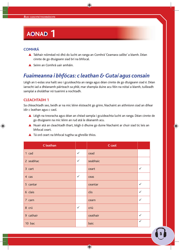## AONAD<sup>1</sup>

### **COMHRÁ**

▲ Tabhair nóiméad nó dhó do lucht an ranga an Comhrá 'Ceamara caillte' a léamh. Déan cinnte de go dtuigeann siad brí na bhfocal.

♠

▲ Seinn an Comhrá uair amháin.

### *Fuaimeanna i bhfócas: c leathan & Gutaí agus consain*

Léigh an t-eolas sna hailt seo i gcuideachta an ranga agus déan cinnte de go dtuigeann siad é. Déan iarracht iad a dhéanamh páirteach sa phlé, mar shampla duine acu féin na nótaí a léamh, tuilleadh samplaí a sholáthar nó tuairimí a nochtadh.

### **CLEACHTADH 1**

⊕

Sa chleachtadh seo, beidh ar na mic léinn éisteacht go grinn, féachaint an aithníonn siad an difear idir *c* leathan agus *c* caol.

- ▲ Léigh na treoracha agus déan an chéad sampla i gcuideachta lucht an ranga. Déan cinnte de go dtuigeann na mic léinn an rud atá le déanamh acu.
- ▲ Nuair atá an cleachtadh thart, téigh ó dhuine go duine féachaint ar chuir siad tic leis an bhfocal ceart.

| C leathan |              | C caol   |              |
|-----------|--------------|----------|--------------|
| 1 cad     | $\checkmark$ | cead     |              |
| 2 seabhac | $\checkmark$ | seabhaic |              |
| 3 cart    |              | ceart    | $\checkmark$ |
| 4 cas     | $\checkmark$ | ceas     |              |
| 5 cantar  |              | ceantar  | $\checkmark$ |
| 6 clais   |              | clis     | $\checkmark$ |
| 7 carn    |              | cearn    | $\checkmark$ |
| 8 crú     | $\checkmark$ | criú     |              |
| 9 cathair |              | ceathair | ✓            |
| 10 bac    |              | baic     | ✓            |

♦

▲ Tá ord ceart na bhfocal tugtha sa ghreille thíos.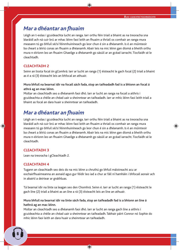⊕

### *Mar a dhéantar an fhuaim*

Léigh an t-eolas i gcuideachta lucht an ranga. Iarr orthu féin triail a bhaint as na treoracha sna léaráidí ach ná cuir brú ar mhac léinn faoi leith an fhuaim a thriail os comhair an ranga mura measann tú go bhfuil sé/sí féinmhuiníneach go leor chun é sin a dhéanamh. Is é an múinteoir ba cheart a léiriú conas an fhuaim a dhéanamh. Abair leis na mic léinn gan díomá a bheith orthu mura n-éiríonn leo an fhuaim Ghaeilge a dhéanamh go sásúil ar an gcéad iarracht. Tiocfaidh sé le cleachtadh.

### **CLEACHTADH 2**

Seinn an liosta focal ón gComhrá. Iarr ar lucht an ranga (1) éisteacht le gach focal (2) triail a bhaint as é a rá (3) éisteacht leis an bhfocal an athuair.

### **Mura bhfuil na bearnaí idir na focail sách fada, stop an taifeadadh fad is a bhíonn an focal á athrá ag an mac léinn.**

Moltar an cleachtadh seo a dhéanamh faoi dhó. Iarr ar lucht an ranga na focail a aithris i gcuideachta a chéile an chéad uair a sheinntear an taifeadadh. Iarr ar mhic léinn faoi leith triail a bhaint as focal an dara huair a sheinntear an taifeadadh.

### *Mar a dhéantar an fhuaim*

Léigh an t-eolas i gcuideachta lucht an ranga. Iarr orthu féin triail a bhaint as na treoracha sna léaráidí ach ná cuir brú ar mhac léinn faoi leith an fhuaim a thriail os comhair an ranga mura measann tú go bhfuil sé/sí féinmhuiníneach go leor chun é sin a dhéanamh. Is é an múinteoir ba cheart a léiriú conas an fhuaim a dhéanamh. Abair leis na mic léinn gan díomá a bheith orthu mura n-éiríonn leo an fhuaim Ghaeilge a dhéanamh go sásúil ar an gcéad iarracht. Tiocfaidh sé le cleachtadh.

### **CLEACHTADH 3**

Lean na treoracha i gCleachtadh 2.

### **CLEACHTADH 4**

Tugann an cleachtadh seo deis do na mic léinn a chruthú go bhfuil máistreacht acu ar eochairfhuaimeanna an aonaid agus gur féidir leo iad a chur ar fáil ní hamháin i bhfocail aonair ach in abairtí a deirtear ar gnáthluas.

Tá bearnaí idir na línte sa leagan seo den Chomhrá. Seinn é. Iarr ar lucht an ranga (1) éisteacht le gach líne (2) triail a bhaint as an líne a rá (3) éisteacht leis an líne an athuair.

#### **Mura bhfuil na bearnaí idir na línte sách fada, stop an taifeadadh fad is a bhíonn an líne á hathrá ag an mac léinn.**

Moltar an cleachtadh seo a dhéanamh faoi dhó. Iarr ar lucht an ranga gach líne a aithris i gcuideachta a chéile an chéad uair a sheinntear an taifeadadh. Tabhair páirt Connor nó Sophie do mhic léinn faoi leith an dara huair a sheinntear an taifeadadh.

 $\bigcirc$ 

♦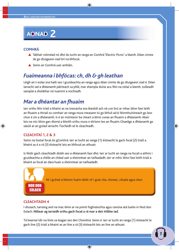# **AONAD 2**

### **COMHRÁ**

- ▲ Tabhair nóiméad nó dhó do lucht an ranga an Comhrá 'Electric Picnic' a léamh. Déan cinnte de go dtuigeann siad brí na bhfocal.
- ▲ Seinn an Comhrá uair amháin.

### *Fuaimeanna i bhfócas: ch, dh & gh leathan*

Léigh an t-eolas sna hailt seo i gcuideachta an ranga agus déan cinnte de go dtuigeann siad é. Déan iarracht iad a dhéanamh páirteach sa phlé, mar shampla duine acu féin na nótaí a léamh, tuilleadh samplaí a sholáthar nó tuairimí a nochtadh.

### *Mar a dhéantar an fhuaim*

Iarr orthu féin triail a bhaint as na treoracha sna léaráidí ach ná cuir brú ar mhac léinn faoi leith an fhuaim a thriail os comhair an ranga mura measann tú go bhfuil sé/sí féinmhuiníneach go leor chun é sin a dhéanamh. Is é an múinteoir ba cheart a léiriú conas an fhuaim a dhéanamh. Abair leis na mic léinn gan díomá a bheith orthu mura n-éiríonn leo an fhuaim Ghaeilge a dhéanamh go sásúil ar an gcéad iarracht. Tiocfaidh sé le cleachtadh.

### **CLEACHTAÍ 1, 2 & 3**

◈

Seinn na liostaí focal ón gComhrá. Iarr ar lucht an ranga (1) éisteacht le gach focal (2) triail a bhaint as é a rá (3) éisteacht leis an bhfocal an athuair.

Is féidir gach cleachtadh díobh seo a dhéanamh faoi dhó. Iarr ar lucht an ranga na focail a aithris i gcuideachta a chéile an chéad uair a sheinntear an taifeadadh. Iarr ar mhic léinn faoi leith triail a bhaint as focal an dara huair a sheinntear an taifeadadh.



### **CLEACHTADH 4**

I dtosach, tarraing aird na mac léinn ar na pointí foghraíochta agus canúna atá luaite in Nod don Eolach. **Níltear ag iarraidh orthu gach focal a rá mar a deir Ailbhe iad.**

Tá bearnaí idir na línte sa leagan seo den Chomhrá. Seinn é. Iarr ar lucht an ranga (1) éisteacht le gach líne (2) triail a bhaint as an líne a rá (3) éisteacht leis an líne an athuair.

♦

7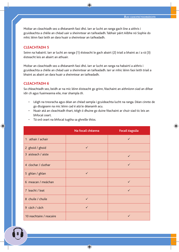Moltar an cleachtadh seo a dhéanamh faoi dhó. Iarr ar lucht an ranga gach líne a aithris i gcuideachta a chéile an chéad uair a sheinntear an taifeadadh. Tabhair páirt Ailbhe nó Sophie do mhic léinn faoi leith an dara huair a sheinntear an taifeadadh.

♠

### **CLEACHTADH 5**

Seinn na habairtí. Iarr ar lucht an ranga (1) éisteacht le gach abairt (2) triail a bhaint as í a rá (3) éisteacht leis an abairt an athuair.

Moltar an cleachtadh seo a dhéanamh faoi dhó. Iarr ar lucht an ranga na habairtí a aithris i gcuideachta a chéile an chéad uair a sheinntear an taifeadadh. Iarr ar mhic léinn faoi leith triail a bhaint as abairt an dara huair a sheinntear an taifeadadh.

### **CLEACHTADH 6**

8

◈

8

Sa chleachtadh seo, beidh ar na mic léinn éisteacht go grinn, féachaint an aithníonn siad an difear idir *ch* agus fuaimeanna eile, mar shampla *th*.

- Léigh na treoracha agus déan an chéad sampla i gcuideachta lucht na ranga. Déan cinnte de go dtuigeann na mic léinn cad é atá le déanamh acu.
- Nuair atá an cleachtadh thart, téigh ó dhuine go duine féachaint ar chuir siad tic leis an bhfocal ceart.

|                          | Na focail chéanna | Focail éagsúla |
|--------------------------|-------------------|----------------|
| 1 athair / achair        |                   | $\checkmark$   |
| 2 ghoid / ghoid          | $\checkmark$      |                |
| 3 aisteach / aiste       |                   | $\checkmark$   |
| 4 clochar / cluthar      |                   | $\checkmark$   |
| 5 ghlan / ghlan          | $\checkmark$      |                |
| 6 meacan / meáchan       |                   | $\checkmark$   |
| 7 leacht / leat          |                   | $\checkmark$   |
| 8 chuile / chuile        | $\checkmark$      |                |
| 9 cách / cách            | $\checkmark$      |                |
| 10 reachtaire / reacaire |                   | $\checkmark$   |

♦

Tá ord ceart na bhfocal tugtha sa ghreille thíos.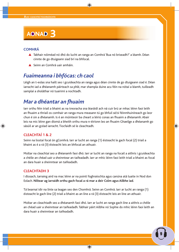# **AONAD 3**

### **COMHRÁ**

- ▲ Tabhair nóiméad nó dhó do lucht an ranga an Comhrá 'Bua nó briseadh?' a léamh. Déan cinnte de go dtuigeann siad brí na bhfocal.
- ▲ Seinn an Comhrá uair amháin.

### *Fuaimeanna i bhfócas: ch caol*

Léigh an t-eolas sna hailt seo i gcuideachta an ranga agus déan cinnte de go dtuigeann siad é. Déan iarracht iad a dhéanamh páirteach sa phlé, mar shampla duine acu féin na nótaí a léamh, tuilleadh samplaí a sholáthar nó tuairimí a nochtadh.

### *Mar a dhéantar an fhuaim*

Iarr orthu féin triail a bhaint as na treoracha sna léaráidí ach ná cuir brú ar mhac léinn faoi leith an fhuaim a thriail os comhair an ranga mura measann tú go bhfuil sé/sí féinmhuiníneach go leor chun é sin a dhéanamh. Is é an múinteoir ba cheart a léiriú conas an fhuaim a dhéanamh. Abair leis na mic léinn gan díomá a bheith orthu mura n-éiríonn leo an fhuaim Ghaeilge a dhéanamh go sásúil ar an gcéad iarracht. Tiocfaidh sé le cleachtadh.

### **CLEACHTAÍ 1 & 2**

◈

Seinn na liostaí focal ón gComhrá. Iarr ar lucht an ranga (1) éisteacht le gach focal (2) triail a bhaint as é a rá (3) éisteacht leis an bhfocal an athuair.

Moltar na cleachtaí seo a dhéanamh faoi dhó. Iarr ar lucht an ranga na focail a aithris i gcuideachta a chéile an chéad uair a sheinntear an taifeadadh. Iarr ar mhic léinn faoi leith triail a bhaint as focal an dara huair a sheinntear an taifeadadh.

### **CLEACHTADH 3**

I dtosach, tarraing aird na mac léinn ar na pointí foghraíochta agus canúna atá luaite in Nod don Eolach. **Níltear ag iarraidh orthu gach focal a rá mar a deir Colm agus Ailbhe iad.**

Tá bearnaí idir na línte sa leagan seo den Chomhrá. Seinn an Comhrá. Iarr ar lucht an ranga (1) éisteacht le gach líne (2) triail a bhaint as an líne a rá (3) éisteacht leis an líne an athuair.

Moltar an cleachtadh seo a dhéanamh faoi dhó. Iarr ar lucht an ranga gach líne a aithris a chéile an chéad uair a sheinntear an taifeadadh. Tabhair páirt Ailbhe nó Sophie do mhic léinn faoi leith an dara huair a sheinntear an taifeadadh.

 $\bigcirc$ 

9

♠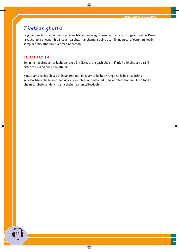⊕

### *Téada an ghutha*

Léigh an t-eolas sna hailt seo i gcuideachta an ranga agus déan cinnte de go dtuigeann siad é. Déan iarracht iad a dhéanamh páirteach sa phlé, mar shampla duine acu féin na nótaí a léamh, tuilleadh samplaí a sholáthar nó tuairimí a nochtadh.

 $\bigoplus$ 

### **CLEACHTADH 4**

10

 $\bigoplus$ 

Seinn na habairtí. Iarr ar lucht an ranga (1) éisteacht le gach abairt (2) triail a bhaint as í a rá (3) éisteacht leis an abairt an athuair.

Moltar an cleachtadh seo a dhéanamh faoi dhó. Iarr ar lucht an ranga na habairtí a aithris i gcuideachta a chéile an chéad uair a sheinntear an taifeadadh. Iarr ar mhic léinn faoi leith triail a bhaint as abairt an dara huair a sheinntear an taifeadadh.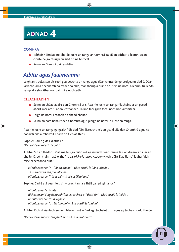## AONAD 4

### **COMHRÁ**

- ▲ Tabhair nóiméad nó dhó do lucht an ranga an Comhrá 'Buail an bóthar' a léamh. Déan cinnte de go dtuigeann siad brí na bhfocal.
- ▲ Seinn an Comhrá uair amháin.

### *Aibítir agus fuaimeanna*

Léigh an t-eolas san alt seo i gcuideachta an ranga agus déan cinnte de go dtuigeann siad é. Déan iarracht iad a dhéanamh páirteach sa phlé, mar shampla duine acu féin na nótaí a léamh, tuilleadh samplaí a sholáthar nó tuairimí a nochtadh.

### **CLEACHTADH 1**

◈

- ▲ Seinn an chéad abairt den Chomhrá arís. Abair le lucht an ranga féachaint ar an gcéad abairt mar atá sí ar an leathanach. Tá líne faoi gach focal nach bhfuaimnítear.
- ▲ Léigh na nótaí i dtaobh na chéad abairte.
- ▲ Seinn an dara habairt den Chomhrá agus pléigh na nótaí le lucht an ranga.

Abair le lucht an ranga go gcaithfidh siad féin éisteacht leis an gcuid eile den Chomhrá agus na habairtí eile a mharcáil. Féach an t-eolas thíos.

**Sophie:** Cad é a deir d'athair? *Ní chloistear an 'a' in 'a deir'.*

**Ailbhe:** Sin an fhadhb. Dúirt mé leis go raibh mé ag iarraidh ceachtanna leis an dream sin i lár an bhaile. Ó, cén t-ainm atá orthu? Is ea, *Irish Motoring Academy*. Ach dúirt Dad liom, "Tabharfaidh mise ceachtanna duit."

*Ní chloistear an 'n' i 'lár an bhaile' – tá sé cosúil le 'lár a' bhaile'. Tá guta cúnta san fhocal 'ainm'. Ní chloistear an 'i' in 'is ea' – tá sé cosúil le 'sea.'*

Sophie: Cad é atá cearr leis sin - ceachtanna a fháil gan pingin a íoc?

*Ní chloistear 'a' in 'atá Ritheann an 's' ag deireadh 'leis' isteach sa 's' i dtús 'sin' – tá sé cosúil le 'leisin'. Ní chloistear an 'a' in 'a fháil'. Ní chloistear an 'g' i lár 'pingin' – tá sé cosúil le 'pighin'.*

**Ailbhe:** Och, dhéanfadh sé neirbhíseach mé – Dad ag féachaint orm agus ag tabhairt orduithe dom.

⊕

11

⊕

*Ní chloistear an 'g' in 'ag féachaint' ná in 'ag tabhairt'.*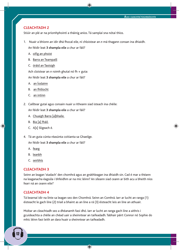### **CLEACHTADH 2**

Stiúir an plé ar na príomhphointí a tháinig aníos. Tá samplaí sna nótaí thíos.

1. Nuair a bhíonn *an* idir dhá fhocal eile, ní chloistear an *n* má thagann consan ina dhiaidh.

♠

An féidir leat **3 shampla eile** a chur ar fáil?

- A. oifig an phoist
- B. Barra an Teampaill
- C. óráid an Taoisigh

Ach cloistear an *n* roimh ghutaí nó fh + guta:

An féidir leat **3 shampla eile** a chur ar fáil?

- A. an Íoslainn
- B. an fhilíocht
- C. an intinn
- 2. Cailltear gutaí agus consain nuair a ritheann siad isteach ina chéile:

An féidir leat **3 shampla eile** a chur ar fáil?

- A. Chuaigh Barra [a]bhaile.
- B. Bia [a] fháil.
- C. A[s] Sligeach é.
- 4. Tá an guta cúnta réasúnta coitianta sa Ghaeilge.

An féidir leat **3 shampla eile** a chur ar fáil?

A. fearg

⊕

- B. leanbh
- C. seirbhís

#### **CLEACHTADH 3**

Seinn an leagan 'stadach' den chomhrá agus an gnáthleagan ina dhiaidh sin. Cad é mar a théann na leaganacha éagsúla i bhfeidhm ar na mic léinn? An síleann siad ceann ar bith acu a bheith níos fearr ná an ceann eile?

#### **CLEACHTADH 4**

Tá bearnaí idir na línte sa leagan seo den Chomhrá. Seinn an Comhrá. Iarr ar lucht an ranga (1) éisteacht le gach líne (2) triail a bhaint as an líne a rá (3) éisteacht leis an líne an athuair.

Moltar an cleachtadh seo a dhéanamh faoi dhó. Iarr ar lucht an ranga gach líne a aithris i gcuideachta a chéile an chéad uair a sheinntear an taifeadadh. Tabhair páirt Connor nó Sophie do mhic léinn faoi leith an dara huair a sheinntear an taifeadadh.

♦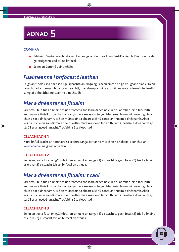# AONAD<sub>5</sub>

### **COMHRÁ**

- ▲ Tabhair nóiméad nó dhó do lucht an ranga an Comhrá 'Fonn Taistil' a léamh. Déan cinnte de go dtuigeann siad brí na bhfocal.
- ▲ Seinn an Comhrá uair amháin.

### *Fuaimeanna i bhfócas: t leathan*

Léigh an t-eolas sna hailt seo i gcuideachta an ranga agus déan cinnte de go dtuigeann siad é. Déan iarracht iad a dhéanamh páirteach sa phlé, mar shampla duine acu féin na nótaí a léamh, tuilleadh samplaí a sholáthar nó tuairimí a nochtadh.

### *Mar a dhéantar an fhuaim*

Iarr orthu féin triail a bhaint as na treoracha sna léaráidí ach ná cuir brú ar mhac léinn faoi leith an fhuaim a thriail os comhair an ranga mura measann tú go bhfuil sé/sí féinmhuiníneach go leor chun é sin a dhéanamh. Is é an múinteoir ba cheart a léiriú conas an fhuaim a dhéanamh. Abair leis na mic léinn gan díomá a bheith orthu mura n-éiríonn leo an fhuaim Ghaeilge a dhéanamh go sásúil ar an gcéad iarracht. Tiocfaidh sé le cleachtadh.

### **CLEACHTADH 1**

◈

Mura bhfuil teacht ar ríomhaire sa seomra ranga, iarr ar na mic léinn na habairtí a ionchur ar www.abair.ie ina gcuid ama féin.

### **CLEACHTADH 2**

Seinn an liosta focal ón gComhrá. Iarr ar lucht an ranga (1) éisteacht le gach focal (2) triail a bhaint as é a rá (3) éisteacht leis an bhfocal an athuair.

### *Mar a dhéantar an fhuaim: t caol*

Iarr orthu féin triail a bhaint as na treoracha sna léaráidí ach ná cuir brú ar mhac léinn faoi leith an fhuaim a thriail os comhair an ranga mura measann tú go bhfuil sé/sí féinmhuiníneach go leor chun é sin a dhéanamh. Is é an múinteoir ba cheart a léiriú conas an fhuaim a dhéanamh. Abair leis na mic léinn gan díomá a bheith orthu mura n-éiríonn leo an fhuaim Ghaeilge a dhéanamh go sásúil ar an gcéad iarracht. Tiocfaidh sé le cleachtadh.

### **CLEACHTADH 3**

Seinn an liosta focal ón gComhrá. Iarr ar lucht an ranga (1) éisteacht le gach focal (2) triail a bhaint as é a rá (3) éisteacht leis an bhfocal an athuair.

⊕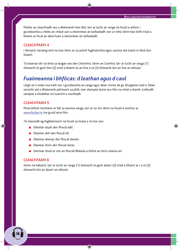Moltar an cleachtadh seo a dhéanamh faoi dhó. Iarr ar lucht an ranga na focail a aithris i gcuideachta a chéile an chéad uair a sheinntear an taifeadadh. Iarr ar mhic léinn faoi leith triail a bhaint as focal an dara huair a sheinntear an taifeadadh.

#### **CLEACHTADH 4**

I dtosach, tarraing aird na mac léinn ar na pointí foghraíochta agus canúna atá luaite in Nod don Eolach.

Tá bearnaí idir na línte sa leagan seo den Chomhrá. Seinn an Comhrá. Iarr ar lucht an ranga (1) éisteacht le gach líne (2) triail a bhaint as an líne a rá (3) éisteacht leis an líne an athuair.

### *Fuaimeanna i bhfócas: d leathan agus d caol*

Léigh an t-eolas sna hailt seo i gcuideachta an ranga agus déan cinnte de go dtuigeann siad é. Déan iarracht iad a dhéanamh páirteach sa phlé, mar shampla duine acu féin na nótaí a léamh, tuilleadh samplaí a sholáthar nó tuairimí a nochtadh.

### **CLEACHTADH 5**

Mura bhfuil ríomhaire ar fáil sa seomra ranga, iarr ar na mic léinn na focail a ionchur ar www.focloir.ie ina gcuid ama féin.

Tá claonadh ag foghlaimeoirí na focail sa liosta a rá mar seo:

- ▲ Déantar *doyle* den fhocal *dáil.*
- ▲ Déantar *doh* den fhocal *dó*.
- ▲ Déantar *deeney* den fhocal *daoine*.
- ▲ Déantar *Doris* den fhocal *doras*.
- ▲ Deirtear *druid* ar nós an fhocail Bhéarla a bhfuil an litriú céanna air.

#### **CLEACHTADH 6**

Seinn na habairtí. Iarr ar lucht an ranga (1) éisteacht le gach abairt (2) triail a bhaint as í a rá (3) éisteacht leis an abairt an athuair.

⊕

14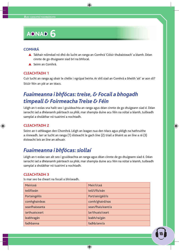# AONAD 6

### **COMHRÁ**

▲ Tabhair nóiméad nó dhó do lucht an ranga an Comhrá 'Cóisir thubaisteach' a léamh. Déan cinnte de go dtuigeann siad brí na bhfocal.

Œ

▲ Seinn an Comhrá.

#### **CLEACHTADH 1**

Cuir lucht an ranga ag obair le chéile i ngrúpaí beirte. Ar shíl siad an Comhrá a bheith 'ait' ar aon slí? Stiúir féin an plé ar an téacs.

### *Fuaimeanna i bhfócas: treise, & Focail a bhogadh timpeall & Foirmeacha Treise & Féin*

Léigh an t-eolas sna hailt seo i gcuideachta an ranga agus déan cinnte de go dtuigeann siad é. Déan iarracht iad a dhéanamh páirteach sa phlé, mar shampla duine acu féin na nótaí a léamh, tuilleadh samplaí a sholáthar nó tuairimí a nochtadh.

### **CLEACHTADH 2**

◈

Seinn an t-athleagan den Chomhrá. Léigh an leagan nua den téacs agus pléigh na hathruithe a rinneadh. Iarr ar lucht an ranga (1) éisteacht le gach líne (2) triail a bhaint as an líne a rá (3) éisteacht leis an líne an athuair.

### *Fuaimeanna i bhfócas: siollaí*

Léigh an t-eolas san alt seo i gcuideachta an ranga agus déan cinnte de go dtuigeann siad é. Déan iarracht iad a dhéanamh páirteach sa phlé, mar shampla duine acu féin na nótaí a léamh, tuilleadh samplaí a sholáthar nó tuairimí a nochtadh.

### **CLEACHTADH 3**

Is mar seo ba cheart na focail a bhriseadh.

| Meiriceá       | Meir/i/ceá        |
|----------------|-------------------|
| teilifíseán    | teil/i/fís/eán    |
| Portaingéilis  | Port/ain/géil/is  |
| comhghairdeas  | comh/ghaird/eas   |
| seanfhaiseanta | sean/fhais/eant/a |
| iarthuaisceart | lar/thuais/ceart  |
| leabhragán     | leabh/ra/gán      |
| fadhbanna      | fadhb/ann/a       |

⊕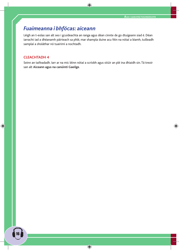### *Fuaimeanna i bhfócas: aiceann*

Léigh an t-eolas san alt seo i gcuideachta an ranga agus déan cinnte de go dtuigeann siad é. Déan iarracht iad a dhéanamh páirteach sa phlé, mar shampla duine acu féin na nótaí a léamh, tuilleadh samplaí a sholáthar nó tuairimí a nochtadh.

 $\bigoplus$ 

### **CLEACHTADH 4**

Seinn an taifeadadh. Iarr ar na mic léinn nótaí a scríobh agus stiúir an plé ina dhiaidh sin. Tá treoir san alt **Aiceann agus na canúintí Gaeilge**.

⊕

 $\bigoplus$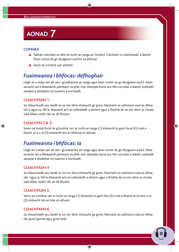# AONAD<sub>7</sub>

### **COMHRÁ**

- ▲ Tabhair nóiméad nó dhó do lucht an ranga an Comhrá 'Cúlchaint is cnáimhseáil' a léamh. Déan cinnte de go dtuigeann siad brí na bhfocal.
- ▲ Seinn an Comhrá uair amháin.

### *Fuaimeanna i bhfócas: défhoghair*

Léigh an t-eolas san alt seo i gcuideachta an ranga agus déan cinnte de go dtuigeann siad é. Déan iarracht iad a dhéanamh páirteach sa phlé, mar shampla duine acu féin na nótaí a léamh, tuilleadh samplaí a sholáthar nó tuairimí a nochtadh.

#### **CLEACHTADH 1**

Sa chleachtadh seo, beidh ar na mic léinn éisteacht go grinn, féachaint an aithníonn siad an difear idir *ú* agus *ua*. Níl le déanamh ach an taifeadadh a sheinm agus a fhiafraí de na mic léinn ar chuala siad difear soiléir idir an dá fhuaim.

### **CLEACHTAÍ 2 & 3**

◈

Seinn na liostaí focal ón gComhrá. Iarr ar lucht an ranga (1) éisteacht le gach focal (2) triail a bhaint as é a rá (3) éisteacht leis an bhfocal an athuair.

### *Fuaimeanna i bhfócas: ia*

Léigh an t-eolas san alt seo i gcuideachta an ranga agus déan cinnte de go dtuigeann siad é. Déan iarracht iad a dhéanamh páirteach sa phlé, mar shampla duine acu féin na nótaí a léamh, tuilleadh samplaí a sholáthar nó tuairimí a nochtadh.

### **CLEACHTADH 4**

Sa chleachtadh seo, beidh ar na mic léinn éisteacht go grinn, féachaint an aithníonn siad an difear idir *í* agus *ia*. Níl le déanamh ach an taifeadadh a sheinm agus a fhiafraí de na mic léinn ar chuala siad difear soiléir idir an dá fhuaim.

### **CLEACHTADH 5**

Seinn an Comhrá. Iarr ar lucht an ranga (1) éisteacht le gach líne (2) triail a bhaint as an líne a rá (3) éisteacht leis an líne an athuair.

#### **CLEACHTADH 6**

Sa chleachtadh seo, beidh ar na mic léinn éisteacht go grinn, féachaint an aithníonn siad an difear idir gutaí gairide agus gutaí fada.

17

€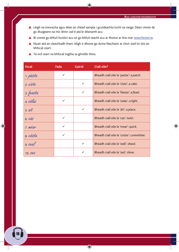$\bigoplus$ 

▲ Léigh na treoracha agus déan an chéad sampla i gcuideachta lucht na ranga. Déan cinnte de go dtuigeann na mic léinn cad é atá le déanamh acu.

 $\bigoplus$ 

- ▲ Bí cinnte go bhfuil foclóirí acu nó go bhfuil teacht acu ar fhoinsí ar líne mar www.focloir.ie.
- ▲ Nuair atá an cleachtadh thart, téigh ó dhuine go duine féachaint ar chuir siad tic leis an bhfocal ceart.
- ▲ Tá ord ceart na bhfocal tugtha sa ghreille thíos.

18

 $\bigoplus$ 

| <b>Focal</b> | Fada         | Gairid       | <b>Ciall eile?</b>                        |
|--------------|--------------|--------------|-------------------------------------------|
| 1 páiste     | ✓            |              | Bheadh ciall eile le 'paiste': a patch.   |
| 2 ciste      |              | ✓            | Bheadh ciall eile le 'císte': a cake.     |
| 3 feasta     |              | $\checkmark$ | Bheadh ciall eile le 'féasta': a feast.   |
| 4 sólás      | $\checkmark$ |              | Bheadh ciall eile le 'solas': a light.    |
| $5$ ait      |              | ✓            | Bheadh ciall eile le 'áit': a place.      |
| 6 cás        | ✓            |              | Bheadh ciall eile le 'cas': twist.        |
| 7 méar       | ✓            |              | Bheadh ciall eile le 'mear': quick.       |
| 8 cóiste     | ✓            |              | Bheadh ciall eile le 'coiste': committee. |
| 9 seal       |              | $\checkmark$ | Bheadh ciall eile le 'seál': shawl.       |
| 10 seo       |              | ✓            | Bheadh ciall eile le 'seó': show.         |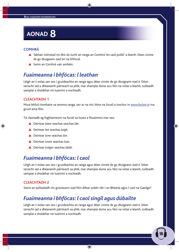# AONAD<sub>8</sub>

### **COMHRÁ**

▲ Tabhair nóiméad nó dhó do lucht an ranga an Comhrá 'An saol poiblí' a léamh. Déan cinnte de go dtuigeann siad brí na bhfocal.

♠

▲ Seinn an Comhrá uair amháin.

### *Fuaimeanna i bhfócas: l leathan*

Léigh an t-eolas san seo i gcuideachta an ranga agus déan cinnte de go dtuigeann siad é. Déan iarracht iad a dhéanamh páirteach sa phlé, mar shampla duine acu féin na nótaí a léamh, tuilleadh samplaí a sholáthar nó tuairimí a nochtadh.

#### **CLEACHTADH 1**

◈

Mura bhfuil ríomhaire sa seomra ranga, iarr ar na mic léinn na focail a ionchur in www.focloir.ie ina gcuid ama féin.

Tá claonadh ag foghlaimeoirí na focail sa liosta a fhuaimniú mar seo:

- ▲ Deirtear *lawn* seachas seachas *lán*.
- ▲ Deirtear *lee* seachas *luigh*.
- ▲ Deirtear *lone* seachas *lón*.
- ▲ Deirtear *Lewis* seachas *luas*.
- ▲ Deirtear *lodger* seachas *láidir*.

### *Fuaimeanna i bhfócas: l caol*

Léigh an t-eolas san seo i gcuideachta an ranga agus déan cinnte de go dtuigeann siad é. Déan iarracht iad a dhéanamh páirteach sa phlé, mar shampla duine acu féin na nótaí a léamh, tuilleadh samplaí a sholáthar nó tuairimí a nochtadh.

### **CLEACHTADH 2**

Seinn an taifeadadh. An gcloiseann siad féin difear soiléir idir *l* an Bhéarla agus *l* caol na Gaeilge?

### *Fuaimeanna i bhfócas: l caol singil agus dúbailte*

Léigh an t-eolas san seo i gcuideachta an ranga agus déan cinnte de go dtuigeann siad é. Déan iarracht iad a dhéanamh páirteach sa phlé, mar shampla duine acu féin na nótaí a léamh, tuilleadh samplaí a sholáthar nó tuairimí a nochtadh.

⊕

€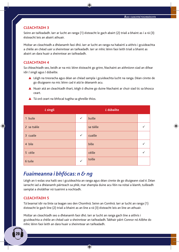♠

### **CLEACHTADH 3**

Seinn an taifeadadh. Iarr ar lucht an ranga (1) éisteacht le gach abairt (2) triail a bhaint as í a rá (3) éisteacht leis an abairt athuair.

Moltar an cleachtadh a dhéanamh faoi dhó. Iarr ar lucht an ranga na habairtí a aithris i gcuideachta a chéile an chéad uair a sheinntear an taifeadadh. Iarr ar mhic léinn faoi leith triail a bhaint as abairt an dara huair a sheinntear an taifeadadh.

### **CLEACHTADH 4**

Sa chleachtadh seo, beidh ar na mic léinn éisteacht go grinn, féachaint an aithníonn siad an difear idir *l* singil agus *l* dúbailte.

- ▲ Léigh na treoracha agus déan an chéad sampla i gcuideachta lucht na ranga. Déan cinnte de go dtuigeann na mic léinn cad é atá le déanamh acu.
- ▲ Nuair atá an cleachtadh thart, téigh ó dhuine go duine féachaint ar chuir siad tic sa bhosca ceart.

| L singil    |              | L dúbailte |   |
|-------------|--------------|------------|---|
| 1 buile     | $\checkmark$ | buille     |   |
| 2 sa tsáile |              | sa táille  |   |
| 3 cuaile    | $\checkmark$ | cuaille    |   |
| 4 bile      |              | bille      | ✓ |
| 5 céile     |              | céille     |   |
| 6 tuile     | $\checkmark$ | toille     |   |

▲ Tá ord ceart na bhfocal tugtha sa ghreille thíos.

### *Fuaimeanna i bhfócas: n & ng*

Léigh an t-eolas sna hailt seo i gcuideachta an ranga agus déan cinnte de go dtuigeann siad é. Déan iarracht iad a dhéanamh páirteach sa phlé, mar shampla duine acu féin na nótaí a léamh, tuilleadh samplaí a sholáthar nó tuairimí a nochtadh.

### **CLEACHTADH 5**

Tá bearnaí idir na línte sa leagan seo den Chomhrá. Seinn an Comhrá. Iarr ar lucht an ranga (1) éisteacht le gach líne (2) triail a bhaint as an líne a rá (3) éisteacht leis an líne an athuair.

Moltar an cleachtadh seo a dhéanamh faoi dhó. Iarr ar lucht an ranga gach líne a aithris i gcuideachta a chéile an chéad uair a sheinntear an taifeadadh. Tabhair páirt Connor nó Ailbhe do mhic léinn faoi leith an dara huair a sheinntear an taifeadadh.

 $\bigcirc$ 

 $\bigoplus$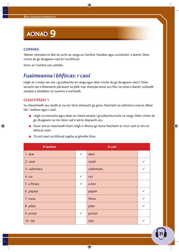# **AONAD 9**

### **COMHRÁ**

Tabhair nóiméad nó dhó do lucht an ranga an Comhrá 'Staidéar agus scrúduithe' a léamh. Déan cinnte de go dtuigeann siad brí na bhfocal.

⊕

Seinn an Comhrá uair amháin.

### *Fuaimeanna i bhfócas: r caol*

Léigh an t-eolas san seo i gcuideachta an ranga agus déan cinnte de go dtuigeann siad é. Déan iarracht iad a dhéanamh páirteach sa phlé, mar shampla duine acu féin na nótaí a léamh, tuilleadh samplaí a sholáthar nó tuairimí a nochtadh.

### **CLEACHTADH 1**

⊕

Sa chleachtadh seo, beidh ar na mic léinn éisteacht go grinn, féachaint an aithníonn siad an difear idir *r* leathan agus *r* caol.

- ▲ Léigh na treoracha agus déan an chéad sampla i gcuideachta lucht na ranga. Déan cinnte de go dtuigeann na mic léinn cad é atá le déanamh acu.
- ▲ Nuair atá an cleachtadh thart, téigh ó dhuine go duine féachaint ar chuir siad tic leis an bhfocal ceart.
- ▲ Tá ord ceart na bhfocal tugtha sa ghreille thíos.

| R leathan    |              | R caol      |   |
|--------------|--------------|-------------|---|
| 1 abar       | $\checkmark$ | abair       |   |
| 2 casúr      |              | casúir      | ✓ |
| 3 ciallmhara |              | ciallmhaire |   |
| 4 cur        | $\checkmark$ | cuir        |   |
| 5 a fheara   | $\checkmark$ | a Aire      |   |
| 6 páipéar    |              | páipéir     | ✓ |
| 7 mura       |              | Muire       | ✓ |
| 8 piléar     |              | piléir      | ✓ |
| 9 pictiúr    | $\checkmark$ | pictiúir    |   |
| 10 clár      |              | cláir       |   |

 $\bigcirc$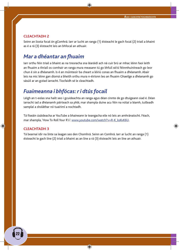### **CLEACHTADH 2**

Seinn an liosta focal ón gComhrá. Iarr ar lucht an ranga (1) éisteacht le gach focal (2) triail a bhaint as é a rá (3) éisteacht leis an bhfocal an athuair.

⊕

### *Mar a dhéantar an fhuaim*

Iarr orthu féin triail a bhaint as na treoracha sna léaráidí ach ná cuir brú ar mhac léinn faoi leith an fhuaim a thriail os comhair an ranga mura measann tú go bhfuil sé/sí féinmhuiníneach go leor chun é sin a dhéanamh. Is é an múinteoir ba cheart a léiriú conas an fhuaim a dhéanamh. Abair leis na mic léinn gan díomá a bheith orthu mura n-éiríonn leo an fhuaim Ghaeilge a dhéanamh go sásúil ar an gcéad iarracht. Tiocfaidh sé le cleachtadh.

### *Fuaimeanna i bhfócas: r i dtús focail*

Léigh an t-eolas sna hailt seo i gcuideachta an ranga agus déan cinnte de go dtuigeann siad é. Déan iarracht iad a dhéanamh páirteach sa phlé, mar shampla duine acu féin na nótaí a léamh, tuilleadh samplaí a sholáthar nó tuairimí a nochtadh.

Tá físeáin úsáideacha ar YouTube a bhaineann le teangacha eile nó leis an amhránaíocht. Féach, mar shampla, 'How To Roll Your R's': www.youtube.com/watch?v=R-K\_ksKvK6U.

#### **CLEACHTADH 3**

⊕

22

Tá bearnaí idir na línte sa leagan seo den Chomhrá. Seinn an Comhrá. Iarr ar lucht an ranga (1) éisteacht le gach líne (2) triail a bhaint as an líne a rá (3) éisteacht leis an líne an athuair.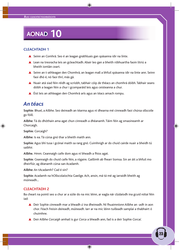# AONAD<sub>10</sub>

#### **CLEACHTADH 1**

- ▲ Seinn an Comhrá. Seo é an leagan gnáthluais gan spásanna idir na línte.
- ▲ Lean na treoracha leis an gcleachtadh. Abair leo gan a bheith róbhuartha faoin litriú a bheith iomlán ceart.
- ▲ Seinn an t-athleagan den Chomhrá, an leagan mall a bhfuil spásanna idir na línte ann. Seinn faoi dhó é, nó faoi thrí, más gá.
- ▲ Nuair atá siad féin réidh ag scríobh, tabhair cóip de théacs an chomhrá dóibh. Tabhair seans dóibh a leagan féin a chur i gcomparáid leis agus ceisteanna a chur.
- ▲ Éist leis an athleagan den Chomhrá arís agus an téacs amach rompu.

### *An téacs*

**Sophie:** Bhuel, a Ailbhe. Seo deireadh an téarma agus ní dhearna mé cinneadh faoi chúrsa ollscoile go fóill.

**Ailbhe:** Tá do dhóthain ama agat chun cinneadh a dhéanamh. Táim féin ag smaoineamh ar Chorcaigh.

**Sophie:** Corcaigh?

◈

**Ailbhe:** Is ea. Tá cúrsa gnó thar a bheith maith ann.

**Sophie:** Agus bhí tusa i gcónaí maith sa rang gnó. Cuimhnigh ar do chuid cairde nuair a bheidh tú saibhir.

**Ailbhe.** Hmm. Ceannaigh caife dom agus ní bheadh a fhios agat.

**Sophie:** Ceannaigh do chuid caife féin, a rógaire. Gaillimh ab fhearr liomsa. Sin an áit a bhfuil mo dheirfiúr, ag déanamh cúrsa san Acadamh.

**Ailbhe:** An tAcadamh? Cad é sin?

**Sophie:** Acadamh na hOllscolaíochta Gaeilge. Ach, ansin, má tá mé ag iarraidh bheith ag múineadh...

#### **CLEACHTADH 2**

Ba cheart na pointí seo a chur ar a súile do na mic léinn, ar eagla nár clúdaíodh ina gcuid nótaí féin iad:

▲ Deir Sophie *cinneadh* mar a bheadh *ú* ina dheireadh. Ní fhuaimníonn Ailbhe an -*adh* in aon chor. Féach freisin *deireadh, múineadh*. Iarr ar na mic léinn tuilleadh samplaí a thabhairt ó chuimhne.

⊕

▲ Deir Ailbhe *Corcaigh* amhail is gur *Corca* a bheadh ann, fad is a deir Sophie *Corcaí*.